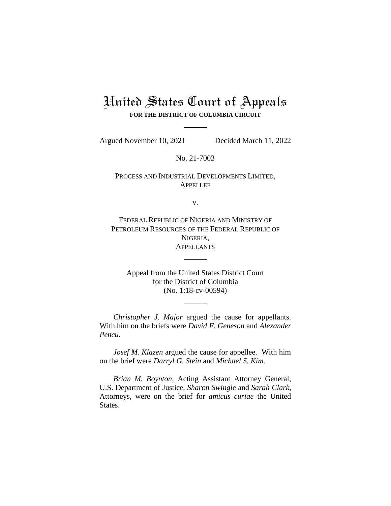# United States Court of Appeals **FOR THE DISTRICT OF COLUMBIA CIRCUIT**

Argued November 10, 2021 Decided March 11, 2022

No. 21-7003

PROCESS AND INDUSTRIAL DEVELOPMENTS LIMITED, APPELLEE

v.

FEDERAL REPUBLIC OF NIGERIA AND MINISTRY OF PETROLEUM RESOURCES OF THE FEDERAL REPUBLIC OF NIGERIA, **APPELLANTS** 

Appeal from the United States District Court for the District of Columbia (No. 1:18-cv-00594)

*Christopher J. Major* argued the cause for appellants. With him on the briefs were *David F. Geneson* and *Alexander Pencu*.

*Josef M. Klazen* argued the cause for appellee. With him on the brief were *Darryl G. Stein* and *Michael S. Kim*.

*Brian M. Boynton*, Acting Assistant Attorney General, U.S. Department of Justice, *Sharon Swingle* and *Sarah Clark*, Attorneys, were on the brief for *amicus curiae* the United States.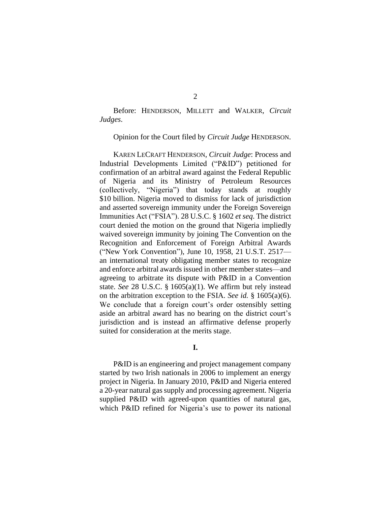Before: HENDERSON, MILLETT and WALKER, *Circuit Judges*.

Opinion for the Court filed by *Circuit Judge* HENDERSON.

KAREN LECRAFT HENDERSON, *Circuit Judge*: Process and Industrial Developments Limited ("P&ID") petitioned for confirmation of an arbitral award against the Federal Republic of Nigeria and its Ministry of Petroleum Resources (collectively, "Nigeria") that today stands at roughly \$10 billion. Nigeria moved to dismiss for lack of jurisdiction and asserted sovereign immunity under the Foreign Sovereign Immunities Act ("FSIA"). 28 U.S.C. § 1602 *et seq*. The district court denied the motion on the ground that Nigeria impliedly waived sovereign immunity by joining The Convention on the Recognition and Enforcement of Foreign Arbitral Awards ("New York Convention"), June 10, 1958, 21 U.S.T. 2517 an international treaty obligating member states to recognize and enforce arbitral awards issued in other member states—and agreeing to arbitrate its dispute with P&ID in a Convention state. *See* 28 U.S.C. § 1605(a)(1). We affirm but rely instead on the arbitration exception to the FSIA. *See id.* § 1605(a)(6). We conclude that a foreign court's order ostensibly setting aside an arbitral award has no bearing on the district court's jurisdiction and is instead an affirmative defense properly suited for consideration at the merits stage.

## **I.**

P&ID is an engineering and project management company started by two Irish nationals in 2006 to implement an energy project in Nigeria. In January 2010, P&ID and Nigeria entered a 20-year natural gas supply and processing agreement. Nigeria supplied P&ID with agreed-upon quantities of natural gas, which P&ID refined for Nigeria's use to power its national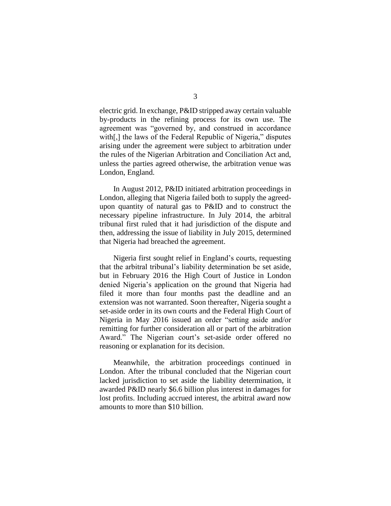electric grid. In exchange, P&ID stripped away certain valuable by-products in the refining process for its own use. The agreement was "governed by, and construed in accordance with[,] the laws of the Federal Republic of Nigeria," disputes arising under the agreement were subject to arbitration under the rules of the Nigerian Arbitration and Conciliation Act and, unless the parties agreed otherwise, the arbitration venue was London, England.

In August 2012, P&ID initiated arbitration proceedings in London, alleging that Nigeria failed both to supply the agreedupon quantity of natural gas to P&ID and to construct the necessary pipeline infrastructure. In July 2014, the arbitral tribunal first ruled that it had jurisdiction of the dispute and then, addressing the issue of liability in July 2015, determined that Nigeria had breached the agreement.

Nigeria first sought relief in England's courts, requesting that the arbitral tribunal's liability determination be set aside, but in February 2016 the High Court of Justice in London denied Nigeria's application on the ground that Nigeria had filed it more than four months past the deadline and an extension was not warranted. Soon thereafter, Nigeria sought a set-aside order in its own courts and the Federal High Court of Nigeria in May 2016 issued an order "setting aside and/or remitting for further consideration all or part of the arbitration Award." The Nigerian court's set-aside order offered no reasoning or explanation for its decision.

Meanwhile, the arbitration proceedings continued in London. After the tribunal concluded that the Nigerian court lacked jurisdiction to set aside the liability determination, it awarded P&ID nearly \$6.6 billion plus interest in damages for lost profits. Including accrued interest, the arbitral award now amounts to more than \$10 billion.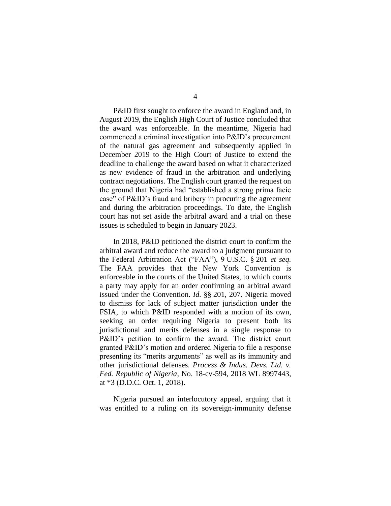P&ID first sought to enforce the award in England and, in August 2019, the English High Court of Justice concluded that the award was enforceable. In the meantime, Nigeria had commenced a criminal investigation into P&ID's procurement of the natural gas agreement and subsequently applied in December 2019 to the High Court of Justice to extend the deadline to challenge the award based on what it characterized as new evidence of fraud in the arbitration and underlying contract negotiations. The English court granted the request on the ground that Nigeria had "established a strong prima facie case" of P&ID's fraud and bribery in procuring the agreement and during the arbitration proceedings. To date, the English

court has not set aside the arbitral award and a trial on these

issues is scheduled to begin in January 2023.

In 2018, P&ID petitioned the district court to confirm the arbitral award and reduce the award to a judgment pursuant to the Federal Arbitration Act ("FAA"), 9 U.S.C. § 201 *et seq.* The FAA provides that the New York Convention is enforceable in the courts of the United States, to which courts a party may apply for an order confirming an arbitral award issued under the Convention. *Id.* §§ 201, 207. Nigeria moved to dismiss for lack of subject matter jurisdiction under the FSIA, to which P&ID responded with a motion of its own, seeking an order requiring Nigeria to present both its jurisdictional and merits defenses in a single response to P&ID's petition to confirm the award. The district court granted P&ID's motion and ordered Nigeria to file a response presenting its "merits arguments" as well as its immunity and other jurisdictional defenses. *Process & Indus. Devs. Ltd. v. Fed. Republic of Nigeria*, No. 18-cv-594, 2018 WL 8997443, at \*3 (D.D.C. Oct. 1, 2018).

Nigeria pursued an interlocutory appeal, arguing that it was entitled to a ruling on its sovereign-immunity defense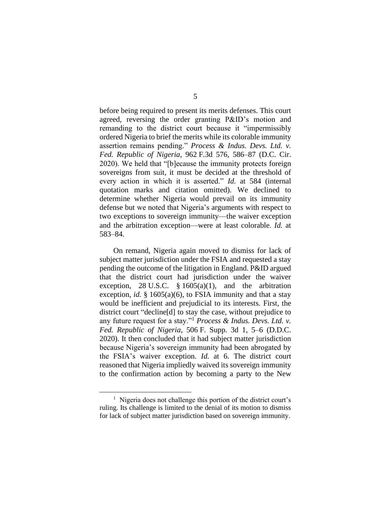before being required to present its merits defenses. This court agreed, reversing the order granting P&ID's motion and remanding to the district court because it "impermissibly ordered Nigeria to brief the merits while its colorable immunity assertion remains pending." *Process & Indus. Devs. Ltd. v. Fed. Republic of Nigeria*, 962 F.3d 576, 586–87 (D.C. Cir. 2020). We held that "[b]ecause the immunity protects foreign sovereigns from suit, it must be decided at the threshold of every action in which it is asserted." *Id.* at 584 (internal quotation marks and citation omitted). We declined to determine whether Nigeria would prevail on its immunity defense but we noted that Nigeria's arguments with respect to two exceptions to sovereign immunity—the waiver exception and the arbitration exception—were at least colorable. *Id.* at 583–84.

On remand, Nigeria again moved to dismiss for lack of subject matter jurisdiction under the FSIA and requested a stay pending the outcome of the litigation in England. P&ID argued that the district court had jurisdiction under the waiver exception, 28 U.S.C.  $\S 1605(a)(1)$ , and the arbitration exception, *id.* § 1605(a)(6), to FSIA immunity and that a stay would be inefficient and prejudicial to its interests. First, the district court "decline[d] to stay the case, without prejudice to any future request for a stay."<sup>1</sup> *Process & Indus. Devs. Ltd. v. Fed. Republic of Nigeria*, 506 F. Supp. 3d 1, 5–6 (D.D.C. 2020). It then concluded that it had subject matter jurisdiction because Nigeria's sovereign immunity had been abrogated by the FSIA's waiver exception. *Id.* at 6. The district court reasoned that Nigeria impliedly waived its sovereign immunity to the confirmation action by becoming a party to the New

<sup>&</sup>lt;sup>1</sup> Nigeria does not challenge this portion of the district court's ruling. Its challenge is limited to the denial of its motion to dismiss for lack of subject matter jurisdiction based on sovereign immunity.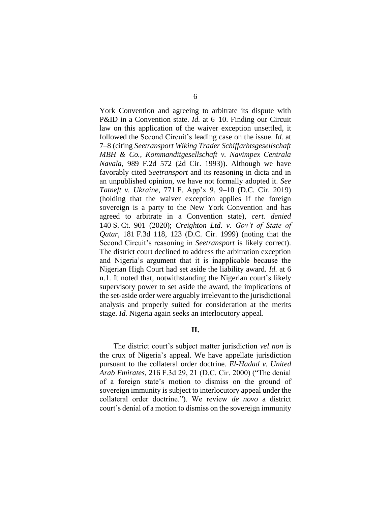York Convention and agreeing to arbitrate its dispute with P&ID in a Convention state. *Id.* at 6–10. Finding our Circuit law on this application of the waiver exception unsettled, it followed the Second Circuit's leading case on the issue. *Id.* at 7–8 (citing *Seetransport Wiking Trader Schiffarhtsgesellschaft MBH & Co., Kommanditgesellschaft v. Navimpex Centrala Navala*, 989 F.2d 572 (2d Cir. 1993)). Although we have favorably cited *Seetransport* and its reasoning in dicta and in an unpublished opinion, we have not formally adopted it. *See Tatneft v. Ukraine*, 771 F. App'x 9, 9–10 (D.C. Cir. 2019) (holding that the waiver exception applies if the foreign sovereign is a party to the New York Convention and has agreed to arbitrate in a Convention state), *cert. denied* 140 S. Ct. 901 (2020); *Creighton Ltd. v. Gov't of State of Qatar*, 181 F.3d 118, 123 (D.C. Cir. 1999) (noting that the Second Circuit's reasoning in *Seetransport* is likely correct). The district court declined to address the arbitration exception and Nigeria's argument that it is inapplicable because the Nigerian High Court had set aside the liability award. *Id.* at 6 n.1. It noted that, notwithstanding the Nigerian court's likely supervisory power to set aside the award, the implications of the set-aside order were arguably irrelevant to the jurisdictional analysis and properly suited for consideration at the merits stage. *Id.* Nigeria again seeks an interlocutory appeal.

## **II.**

The district court's subject matter jurisdiction *vel non* is the crux of Nigeria's appeal. We have appellate jurisdiction pursuant to the collateral order doctrine. *El-Hadad v. United Arab Emirates*, 216 F.3d 29, 21 (D.C. Cir. 2000) ("The denial of a foreign state's motion to dismiss on the ground of sovereign immunity is subject to interlocutory appeal under the collateral order doctrine."). We review *de novo* a district court's denial of a motion to dismiss on the sovereign immunity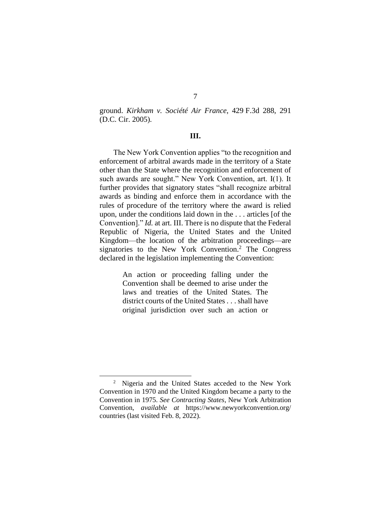ground. *Kirkham v. Société Air France*, 429 F.3d 288, 291 (D.C. Cir. 2005).

#### **III.**

The New York Convention applies "to the recognition and enforcement of arbitral awards made in the territory of a State other than the State where the recognition and enforcement of such awards are sought." New York Convention, art. I(1). It further provides that signatory states "shall recognize arbitral awards as binding and enforce them in accordance with the rules of procedure of the territory where the award is relied upon, under the conditions laid down in the . . . articles [of the Convention]." *Id.* at art. III. There is no dispute that the Federal Republic of Nigeria, the United States and the United Kingdom—the location of the arbitration proceedings—are signatories to the New York Convention.<sup>2</sup> The Congress declared in the legislation implementing the Convention:

> An action or proceeding falling under the Convention shall be deemed to arise under the laws and treaties of the United States. The district courts of the United States . . . shall have original jurisdiction over such an action or

<sup>&</sup>lt;sup>2</sup> Nigeria and the United States acceded to the New York Convention in 1970 and the United Kingdom became a party to the Convention in 1975. *See Contracting States*, New York Arbitration Convention, *available at* https://www.newyorkconvention.org/ countries (last visited Feb. 8, 2022).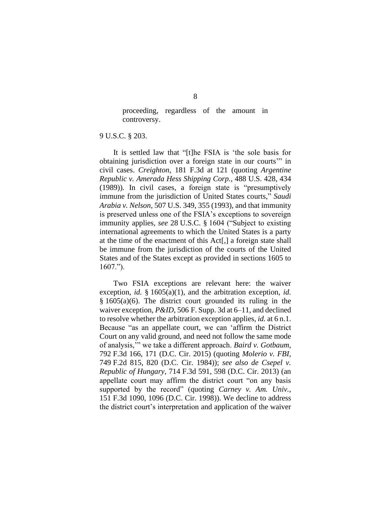proceeding, regardless of the amount in controversy.

#### 9 U.S.C. § 203.

It is settled law that "[t]he FSIA is 'the sole basis for obtaining jurisdiction over a foreign state in our courts'" in civil cases. *Creighton*, 181 F.3d at 121 (quoting *Argentine Republic v. Amerada Hess Shipping Corp.*, 488 U.S. 428, 434 (1989)). In civil cases, a foreign state is "presumptively immune from the jurisdiction of United States courts," *Saudi Arabia v. Nelson*, 507 U.S. 349, 355 (1993), and that immunity is preserved unless one of the FSIA's exceptions to sovereign immunity applies, *see* 28 U.S.C. § 1604 ("Subject to existing international agreements to which the United States is a party at the time of the enactment of this Act[,] a foreign state shall be immune from the jurisdiction of the courts of the United States and of the States except as provided in sections 1605 to 1607.").

Two FSIA exceptions are relevant here: the waiver exception, *id.* § 1605(a)(1), and the arbitration exception, *id.*  $§ 1605(a)(6)$ . The district court grounded its ruling in the waiver exception, *P&ID*, 506 F. Supp. 3d at 6–11, and declined to resolve whether the arbitration exception applies, *id.* at 6 n.1. Because "as an appellate court, we can 'affirm the District Court on any valid ground, and need not follow the same mode of analysis,'" we take a different approach. *Baird v. Gotbaum*, 792 F.3d 166, 171 (D.C. Cir. 2015) (quoting *Molerio v. FBI*, 749 F.2d 815, 820 (D.C. Cir. 1984)); *see also de Csepel v. Republic of Hungary*, 714 F.3d 591, 598 (D.C. Cir. 2013) (an appellate court may affirm the district court "on any basis supported by the record" (quoting *Carney v. Am. Univ.*, 151 F.3d 1090, 1096 (D.C. Cir. 1998)). We decline to address the district court's interpretation and application of the waiver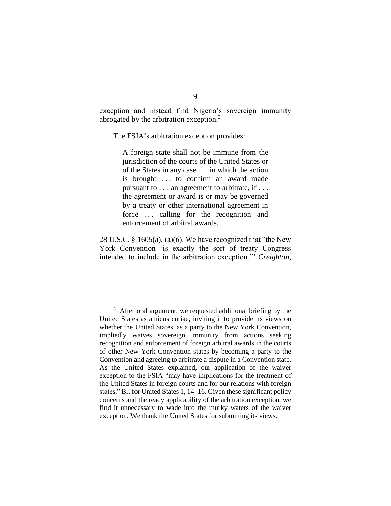exception and instead find Nigeria's sovereign immunity abrogated by the arbitration exception.<sup>3</sup>

The FSIA's arbitration exception provides:

A foreign state shall not be immune from the jurisdiction of the courts of the United States or of the States in any case . . . in which the action is brought . . . to confirm an award made pursuant to . . . an agreement to arbitrate, if . . . the agreement or award is or may be governed by a treaty or other international agreement in force ... calling for the recognition and enforcement of arbitral awards.

28 U.S.C. § 1605(a), (a)(6). We have recognized that "the New York Convention 'is exactly the sort of treaty Congress intended to include in the arbitration exception.'" *Creighton*,

<sup>&</sup>lt;sup>3</sup> After oral argument, we requested additional briefing by the United States as amicus curiae, inviting it to provide its views on whether the United States, as a party to the New York Convention, impliedly waives sovereign immunity from actions seeking recognition and enforcement of foreign arbitral awards in the courts of other New York Convention states by becoming a party to the Convention and agreeing to arbitrate a dispute in a Convention state. As the United States explained, our application of the waiver exception to the FSIA "may have implications for the treatment of the United States in foreign courts and for our relations with foreign states." Br. for United States 1, 14–16. Given these significant policy concerns and the ready applicability of the arbitration exception, we find it unnecessary to wade into the murky waters of the waiver exception. We thank the United States for submitting its views.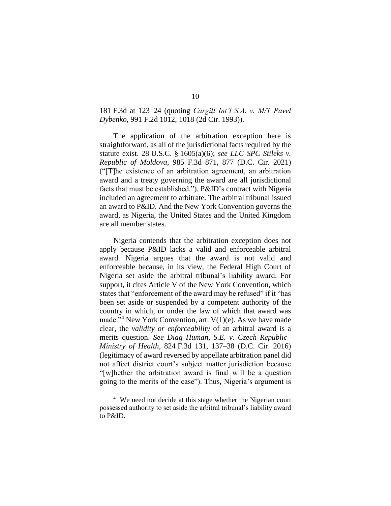# 181 F.3d at 123–24 (quoting *Cargill Int'l S.A. v. M/T Pavel Dybenko*, 991 F.2d 1012, 1018 (2d Cir. 1993)).

The application of the arbitration exception here is straightforward, as all of the jurisdictional facts required by the statute exist. 28 U.S.C. § 1605(a)(6); *see LLC SPC Stileks v. Republic of Moldova*, 985 F.3d 871, 877 (D.C. Cir. 2021) ("[T]he existence of an arbitration agreement, an arbitration award and a treaty governing the award are all jurisdictional facts that must be established."). P&ID's contract with Nigeria included an agreement to arbitrate. The arbitral tribunal issued an award to P&ID. And the New York Convention governs the award, as Nigeria, the United States and the United Kingdom are all member states.

Nigeria contends that the arbitration exception does not apply because P&ID lacks a valid and enforceable arbitral award. Nigeria argues that the award is not valid and enforceable because, in its view, the Federal High Court of Nigeria set aside the arbitral tribunal's liability award. For support, it cites Article V of the New York Convention, which states that "enforcement of the award may be refused" if it "has been set aside or suspended by a competent authority of the country in which, or under the law of which that award was made."<sup>4</sup> New York Convention, art.  $V(1)(e)$ . As we have made clear, the *validity or enforceability* of an arbitral award is a merits question. *See Diag Human, S.E. v. Czech Republic– Ministry of Health*, 824 F.3d 131, 137–38 (D.C. Cir. 2016) (legitimacy of award reversed by appellate arbitration panel did not affect district court's subject matter jurisdiction because "[w]hether the arbitration award is final will be a question going to the merits of the case"). Thus, Nigeria's argument is

<sup>&</sup>lt;sup>4</sup> We need not decide at this stage whether the Nigerian court possessed authority to set aside the arbitral tribunal's liability award to P&ID.